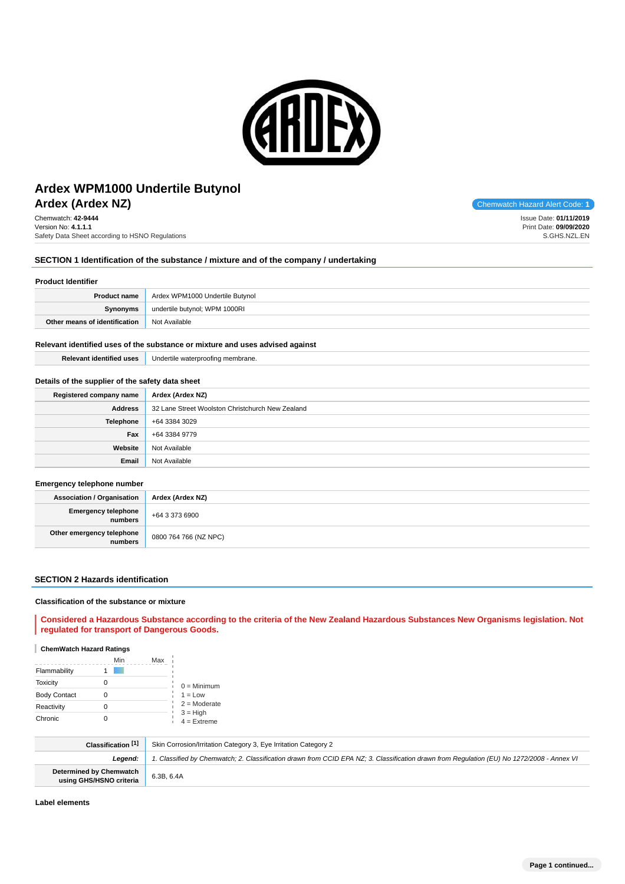

# **Ardex (Ardex NZ)** Chemwatch Hazard Alert Code: **1 Ardex WPM1000 Undertile Butynol**

Chemwatch: **42-9444** Version No: **4.1.1.1** Safety Data Sheet according to HSNO Regulations

### **SECTION 1 Identification of the substance / mixture and of the company / undertaking**

### **Product Identifier**

| <b>Product name</b>           | Ardex WPM1000 Undertile Butynol |
|-------------------------------|---------------------------------|
| Synonyms                      | undertile butynol; WPM 1000RI   |
| Other means of identification | Not Available                   |

#### **Relevant identified uses of the substance or mixture and uses advised against**

| <b>Relevant identified uses</b> | Undertile waterproofing membrane. |
|---------------------------------|-----------------------------------|
|---------------------------------|-----------------------------------|

#### **Details of the supplier of the safety data sheet**

| Registered company name | Ardex (Ardex NZ)                                 |
|-------------------------|--------------------------------------------------|
| <b>Address</b>          | 32 Lane Street Woolston Christchurch New Zealand |
| Telephone               | +64 3384 3029                                    |
| Fax                     | +64 3384 9779                                    |
| Website                 | Not Available                                    |
| Email                   | Not Available                                    |

#### **Emergency telephone number**

| Association / Organisation                   | Ardex (Ardex NZ)      |
|----------------------------------------------|-----------------------|
| <b>Emergency telephone</b><br><b>numbers</b> | +64 3 373 6900        |
| Other emergency telephone<br>numbers         | 0800 764 766 (NZ NPC) |

#### **SECTION 2 Hazards identification**

#### **Classification of the substance or mixture**

**Considered a Hazardous Substance according to the criteria of the New Zealand Hazardous Substances New Organisms legislation. Not regulated for transport of Dangerous Goods.**

#### **ChemWatch Hazard Ratings**

|                     | Min | Max |                             |
|---------------------|-----|-----|-----------------------------|
| Flammability        |     |     |                             |
| <b>Toxicity</b>     |     |     | $0 =$ Minimum               |
| <b>Body Contact</b> |     |     | $1 = Low$                   |
| Reactivity          |     |     | $2 =$ Moderate              |
| Chronic             |     |     | $3 = High$<br>$4 =$ Extreme |

| Classification [1]                                        | Skin Corrosion/Irritation Category 3, Eye Irritation Category 2                                                                            |
|-----------------------------------------------------------|--------------------------------------------------------------------------------------------------------------------------------------------|
| Leaend:                                                   | 1. Classified by Chemwatch; 2. Classification drawn from CCID EPA NZ; 3. Classification drawn from Requlation (EU) No 1272/2008 - Annex VI |
| <b>Determined by Chemwatch</b><br>using GHS/HSNO criteria | 6.3B, 6.4A                                                                                                                                 |

**Label elements**

Issue Date: **01/11/2019** Print Date: **09/09/2020** S.GHS.NZL.EN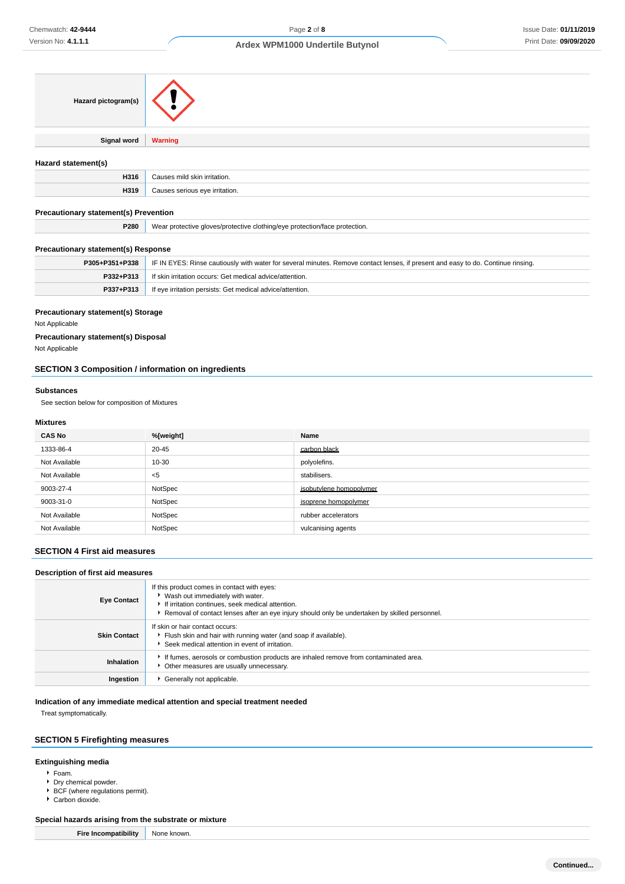| Hazard pictogram(s) |                                |
|---------------------|--------------------------------|
|                     |                                |
| <b>Signal word</b>  | <b>Warning</b>                 |
|                     |                                |
| Hazard statement(s) |                                |
| H316                | Causes mild skin irritation.   |
| H319                | Causes serious eye irritation. |

### **Precautionary statement(s) Prevention**

| P280 | clothina/eve<br>protection.<br>otective aloves/protective<br>nrotection/tace |
|------|------------------------------------------------------------------------------|
|      |                                                                              |

### **Precautionary statement(s) Response**

| P305+P351+P338   IF IN EYES: Rinse cautiously with water for several minutes. Remove contact lenses, if present and easy to do. Continue rinsing. |
|---------------------------------------------------------------------------------------------------------------------------------------------------|
| <b>P332+P313</b> If skin irritation occurs: Get medical advice/attention.                                                                         |
| <b>P337+P313</b> If eye irritation persists: Get medical advice/attention.                                                                        |

#### **Precautionary statement(s) Storage**

Not Applicable

### **Precautionary statement(s) Disposal**

Not Applicable

## **SECTION 3 Composition / information on ingredients**

#### **Substances**

See section below for composition of Mixtures

### **Mixtures**

| <b>CAS No</b> | %[weight] | Name                    |
|---------------|-----------|-------------------------|
| 1333-86-4     | 20-45     | carbon black            |
| Not Available | 10-30     | polyolefins.            |
| Not Available | $<$ 5     | stabilisers.            |
| 9003-27-4     | NotSpec   | isobutylene homopolymer |
| 9003-31-0     | NotSpec   | isoprene homopolymer    |
| Not Available | NotSpec   | rubber accelerators     |
| Not Available | NotSpec   | vulcanising agents      |

### **SECTION 4 First aid measures**

### **Description of first aid measures**

| <b>Eye Contact</b>  | If this product comes in contact with eyes:<br>▶ Wash out immediately with water.<br>If irritation continues, seek medical attention.<br>Removal of contact lenses after an eye injury should only be undertaken by skilled personnel. |
|---------------------|----------------------------------------------------------------------------------------------------------------------------------------------------------------------------------------------------------------------------------------|
| <b>Skin Contact</b> | If skin or hair contact occurs:<br>Flush skin and hair with running water (and soap if available).<br>Seek medical attention in event of irritation.                                                                                   |
| Inhalation          | If fumes, aerosols or combustion products are inhaled remove from contaminated area.<br>Other measures are usually unnecessary.                                                                                                        |
| Ingestion           | Generally not applicable.                                                                                                                                                                                                              |

#### **Indication of any immediate medical attention and special treatment needed**

Treat symptomatically.

### **SECTION 5 Firefighting measures**

### **Extinguishing media**

- Foam.
- Dry chemical powder.
- BCF (where regulations permit).
- Carbon dioxide.

### **Special hazards arising from the substrate or mixture**

| <b>Fire Incompatibility</b> | None known. |
|-----------------------------|-------------|
|-----------------------------|-------------|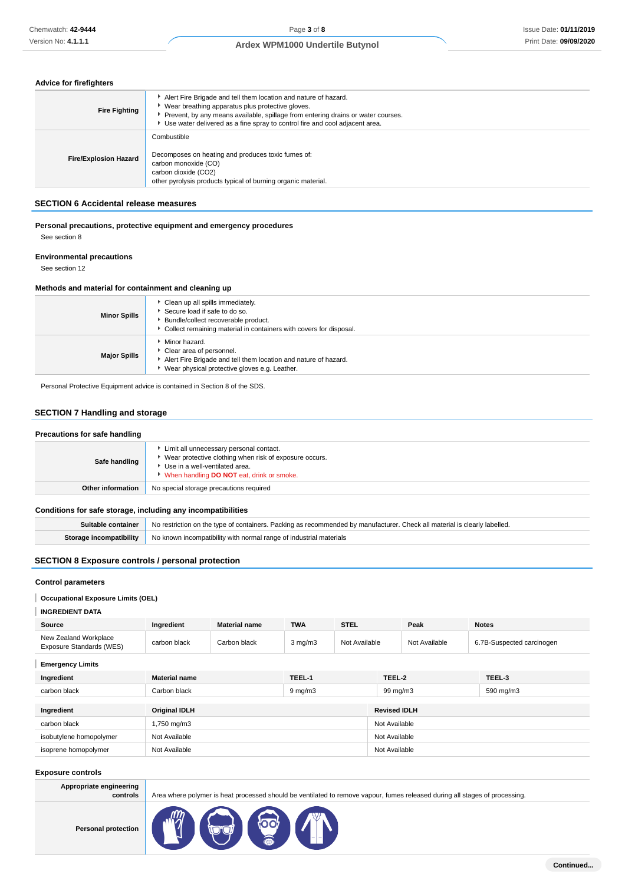### **Advice for firefighters**

| <b>Fire Fighting</b>         | Alert Fire Brigade and tell them location and nature of hazard.<br>▶ Wear breathing apparatus plus protective gloves.<br>Prevent, by any means available, spillage from entering drains or water courses.<br>► Use water delivered as a fine spray to control fire and cool adjacent area. |
|------------------------------|--------------------------------------------------------------------------------------------------------------------------------------------------------------------------------------------------------------------------------------------------------------------------------------------|
| <b>Fire/Explosion Hazard</b> | Combustible<br>Decomposes on heating and produces toxic fumes of:<br>carbon monoxide (CO)<br>carbon dioxide (CO2)<br>other pyrolysis products typical of burning organic material.                                                                                                         |

### **SECTION 6 Accidental release measures**

#### **Personal precautions, protective equipment and emergency procedures** See section 8

**Environmental precautions**

See section 12

#### **Methods and material for containment and cleaning up**

| <b>Minor Spills</b> | Clean up all spills immediately.<br>Secure load if safe to do so.<br>Bundle/collect recoverable product.<br>Collect remaining material in containers with covers for disposal. |
|---------------------|--------------------------------------------------------------------------------------------------------------------------------------------------------------------------------|
| <b>Major Spills</b> | • Minor hazard.<br>Clear area of personnel.<br>Alert Fire Brigade and tell them location and nature of hazard.<br>▶ Wear physical protective gloves e.g. Leather.              |

Personal Protective Equipment advice is contained in Section 8 of the SDS.

### **SECTION 7 Handling and storage**

| Precautions for safe handling |                                                                                                                                                                                  |
|-------------------------------|----------------------------------------------------------------------------------------------------------------------------------------------------------------------------------|
| Safe handling                 | Limit all unnecessary personal contact.<br>Wear protective clothing when risk of exposure occurs.<br>Use in a well-ventilated area.<br>When handling DO NOT eat, drink or smoke. |
| <b>Other information</b>      | No special storage precautions required                                                                                                                                          |

### **Conditions for safe storage, including any incompatibilities**

| Suitable container No restriction on the type of containers. Packing as recommended by manufacturer. Check all material is clearly labelled. |
|----------------------------------------------------------------------------------------------------------------------------------------------|
| <b>Storage incompatibility</b> No known incompatibility with normal range of industrial materials                                            |

### **SECTION 8 Exposure controls / personal protection**

### **Control parameters**

### **Occupational Exposure Limits (OEL)**

#### **INGREDIENT DATA**

| Source                                            | Ingredient   | <b>Material name</b> | <b>TWA</b>       | <b>STEL</b>   | Peak          | <b>Notes</b>              |
|---------------------------------------------------|--------------|----------------------|------------------|---------------|---------------|---------------------------|
| New Zealand Workplace<br>Exposure Standards (WES) | carbon black | Carbon black         | $3 \text{ mg/m}$ | Not Available | Not Available | 6.7B-Suspected carcinogen |

**Emergency Limits**

| Ingredient              | <b>Material name</b> | TEEL-1       | TEEL-2              | TEEL-3    |  |
|-------------------------|----------------------|--------------|---------------------|-----------|--|
| carbon black            | Carbon black         | $9 \, mg/m3$ | 99 mg/m3            | 590 mg/m3 |  |
|                         |                      |              |                     |           |  |
| Ingredient              | <b>Original IDLH</b> |              | <b>Revised IDLH</b> |           |  |
| carbon black            | 1,750 mg/m3          |              | Not Available       |           |  |
| isobutylene homopolymer | Not Available        |              | Not Available       |           |  |
| isoprene homopolymer    | Not Available        |              | Not Available       |           |  |
|                         |                      |              |                     |           |  |

#### **Exposure controls**

| Appropriate engineering<br>controls | Area where polymer is heat processed should be ventilated to remove vapour, fumes released during all stages of processing. |
|-------------------------------------|-----------------------------------------------------------------------------------------------------------------------------|
| <b>Personal protection</b>          | <b>Seal 1</b><br>$\widehat{\mathbb{R}}$                                                                                     |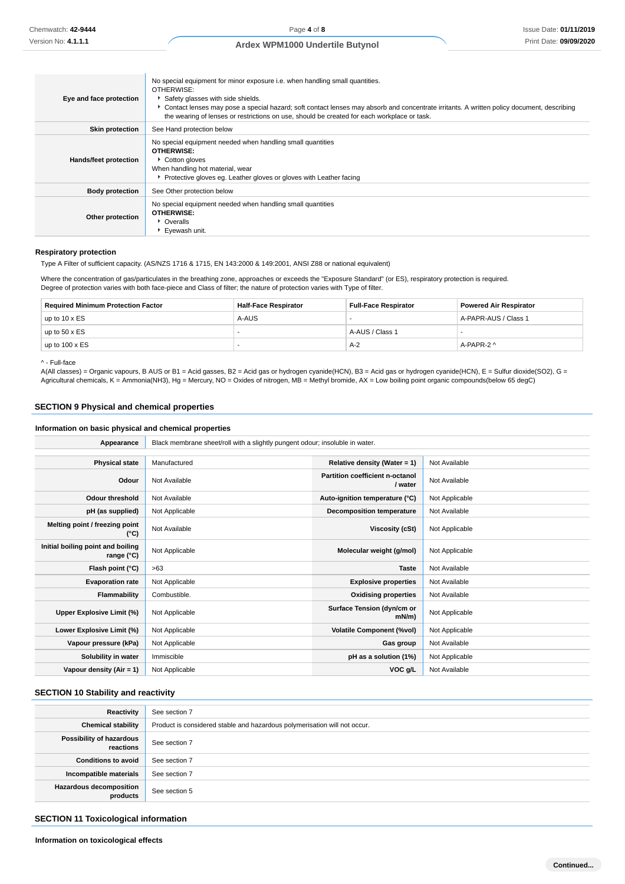| Eye and face protection | No special equipment for minor exposure i.e. when handling small quantities.<br>OTHERWISE:<br>Safety glasses with side shields.<br>Contact lenses may pose a special hazard; soft contact lenses may absorb and concentrate irritants. A written policy document, describing<br>the wearing of lenses or restrictions on use, should be created for each workplace or task. |
|-------------------------|-----------------------------------------------------------------------------------------------------------------------------------------------------------------------------------------------------------------------------------------------------------------------------------------------------------------------------------------------------------------------------|
| <b>Skin protection</b>  | See Hand protection below                                                                                                                                                                                                                                                                                                                                                   |
| Hands/feet protection   | No special equipment needed when handling small quantities<br><b>OTHERWISE:</b><br>Cotton gloves<br>When handling hot material, wear<br>▶ Protective gloves eg. Leather gloves or gloves with Leather facing                                                                                                                                                                |
| <b>Body protection</b>  | See Other protection below                                                                                                                                                                                                                                                                                                                                                  |
| Other protection        | No special equipment needed when handling small quantities<br><b>OTHERWISE:</b><br>• Overalls<br>▶ Evewash unit.                                                                                                                                                                                                                                                            |

#### **Respiratory protection**

Type A Filter of sufficient capacity. (AS/NZS 1716 & 1715, EN 143:2000 & 149:2001, ANSI Z88 or national equivalent)

Where the concentration of gas/particulates in the breathing zone, approaches or exceeds the "Exposure Standard" (or ES), respiratory protection is required. Degree of protection varies with both face-piece and Class of filter; the nature of protection varies with Type of filter.

| <b>Required Minimum Protection Factor</b> | <b>Half-Face Respirator</b> | <b>Full-Face Respirator</b> | <b>Powered Air Respirator</b> |
|-------------------------------------------|-----------------------------|-----------------------------|-------------------------------|
| up to $10 \times ES$                      | A-AUS                       |                             | A-PAPR-AUS / Class 1          |
| up to $50 \times ES$                      |                             | A-AUS / Class 1             |                               |
| up to $100 \times ES$                     |                             | A-2                         | A-PAPR-2 ^                    |

^ - Full-face

A(All classes) = Organic vapours, B AUS or B1 = Acid gasses, B2 = Acid gas or hydrogen cyanide(HCN), B3 = Acid gas or hydrogen cyanide(HCN), E = Sulfur dioxide(SO2), G = Agricultural chemicals, K = Ammonia(NH3), Hg = Mercury, NO = Oxides of nitrogen, MB = Methyl bromide, AX = Low boiling point organic compounds(below 65 degC)

### **SECTION 9 Physical and chemical properties**

### **Information on basic physical and chemical properties**

| Appearance                                      | Black membrane sheet/roll with a slightly pungent odour; insoluble in water. |                                            |                |  |
|-------------------------------------------------|------------------------------------------------------------------------------|--------------------------------------------|----------------|--|
|                                                 |                                                                              |                                            |                |  |
| <b>Physical state</b>                           | Manufactured                                                                 | Relative density (Water = 1)               | Not Available  |  |
| Odour                                           | Not Available                                                                | Partition coefficient n-octanol<br>/ water | Not Available  |  |
| <b>Odour threshold</b>                          | Not Available                                                                | Auto-ignition temperature (°C)             | Not Applicable |  |
| pH (as supplied)                                | Not Applicable                                                               | Decomposition temperature                  | Not Available  |  |
| Melting point / freezing point<br>(°C)          | Not Available                                                                | Viscosity (cSt)                            | Not Applicable |  |
| Initial boiling point and boiling<br>range (°C) | Not Applicable                                                               | Molecular weight (g/mol)                   | Not Applicable |  |
| Flash point (°C)                                | >63                                                                          | <b>Taste</b>                               | Not Available  |  |
| <b>Evaporation rate</b>                         | Not Applicable                                                               | <b>Explosive properties</b>                | Not Available  |  |
| Flammability                                    | Combustible.                                                                 | <b>Oxidising properties</b>                | Not Available  |  |
| Upper Explosive Limit (%)                       | Not Applicable                                                               | Surface Tension (dyn/cm or<br>$mN/m$ )     | Not Applicable |  |
| Lower Explosive Limit (%)                       | Not Applicable                                                               | <b>Volatile Component (%vol)</b>           | Not Applicable |  |
| Vapour pressure (kPa)                           | Not Applicable                                                               | Gas group                                  | Not Available  |  |
| Solubility in water                             | Immiscible                                                                   | pH as a solution (1%)                      | Not Applicable |  |
| Vapour density $(Air = 1)$                      | Not Applicable                                                               | VOC g/L                                    | Not Available  |  |

### **SECTION 10 Stability and reactivity**

| Reactivity                            | See section 7                                                             |
|---------------------------------------|---------------------------------------------------------------------------|
| <b>Chemical stability</b>             | Product is considered stable and hazardous polymerisation will not occur. |
| Possibility of hazardous<br>reactions | See section 7                                                             |
| <b>Conditions to avoid</b>            | See section 7                                                             |
| Incompatible materials                | See section 7                                                             |
| Hazardous decomposition<br>products   | See section 5                                                             |

#### **SECTION 11 Toxicological information**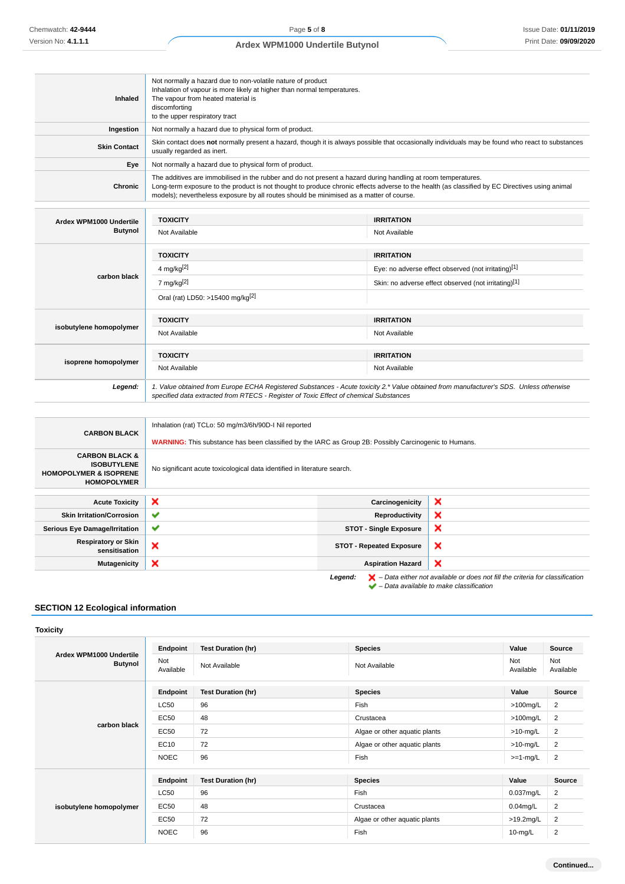| Inhaled                                                                                                    | Not normally a hazard due to non-volatile nature of product<br>Inhalation of vapour is more likely at higher than normal temperatures.<br>The vapour from heated material is<br>discomforting<br>to the upper respiratory tract                                                                                                                            |                                 |                                                      |  |  |
|------------------------------------------------------------------------------------------------------------|------------------------------------------------------------------------------------------------------------------------------------------------------------------------------------------------------------------------------------------------------------------------------------------------------------------------------------------------------------|---------------------------------|------------------------------------------------------|--|--|
| Ingestion                                                                                                  | Not normally a hazard due to physical form of product.                                                                                                                                                                                                                                                                                                     |                                 |                                                      |  |  |
| <b>Skin Contact</b>                                                                                        | Skin contact does not normally present a hazard, though it is always possible that occasionally individuals may be found who react to substances<br>usually regarded as inert.                                                                                                                                                                             |                                 |                                                      |  |  |
| Eye                                                                                                        | Not normally a hazard due to physical form of product.                                                                                                                                                                                                                                                                                                     |                                 |                                                      |  |  |
| Chronic                                                                                                    | The additives are immobilised in the rubber and do not present a hazard during handling at room temperatures.<br>Long-term exposure to the product is not thought to produce chronic effects adverse to the health (as classified by EC Directives using animal<br>models); nevertheless exposure by all routes should be minimised as a matter of course. |                                 |                                                      |  |  |
| Ardex WPM1000 Undertile                                                                                    | <b>TOXICITY</b>                                                                                                                                                                                                                                                                                                                                            | <b>IRRITATION</b>               |                                                      |  |  |
| <b>Butynol</b>                                                                                             | Not Available                                                                                                                                                                                                                                                                                                                                              | Not Available                   |                                                      |  |  |
|                                                                                                            | <b>TOXICITY</b>                                                                                                                                                                                                                                                                                                                                            | <b>IRRITATION</b>               |                                                      |  |  |
|                                                                                                            | 4 mg/kg $[2]$                                                                                                                                                                                                                                                                                                                                              |                                 | Eye: no adverse effect observed (not irritating)[1]  |  |  |
| carbon black                                                                                               | 7 mg/kg <sup>[2]</sup>                                                                                                                                                                                                                                                                                                                                     |                                 | Skin: no adverse effect observed (not irritating)[1] |  |  |
|                                                                                                            | Oral (rat) LD50: >15400 mg/kg <sup>[2]</sup>                                                                                                                                                                                                                                                                                                               |                                 |                                                      |  |  |
|                                                                                                            | <b>TOXICITY</b>                                                                                                                                                                                                                                                                                                                                            | <b>IRRITATION</b>               |                                                      |  |  |
| isobutylene homopolymer                                                                                    | Not Available                                                                                                                                                                                                                                                                                                                                              | Not Available                   |                                                      |  |  |
|                                                                                                            | <b>TOXICITY</b>                                                                                                                                                                                                                                                                                                                                            | <b>IRRITATION</b>               |                                                      |  |  |
| isoprene homopolymer                                                                                       | Not Available                                                                                                                                                                                                                                                                                                                                              | Not Available                   |                                                      |  |  |
| Legend:                                                                                                    | 1. Value obtained from Europe ECHA Registered Substances - Acute toxicity 2.* Value obtained from manufacturer's SDS. Unless otherwise<br>specified data extracted from RTECS - Register of Toxic Effect of chemical Substances                                                                                                                            |                                 |                                                      |  |  |
|                                                                                                            |                                                                                                                                                                                                                                                                                                                                                            |                                 |                                                      |  |  |
|                                                                                                            | Inhalation (rat) TCLo: 50 mg/m3/6h/90D-I Nil reported                                                                                                                                                                                                                                                                                                      |                                 |                                                      |  |  |
| <b>CARBON BLACK</b>                                                                                        | <b>WARNING:</b> This substance has been classified by the IARC as Group 2B: Possibly Carcinogenic to Humans.                                                                                                                                                                                                                                               |                                 |                                                      |  |  |
| <b>CARBON BLACK &amp;</b><br><b>ISOBUTYLENE</b><br><b>HOMOPOLYMER &amp; ISOPRENE</b><br><b>HOMOPOLYMER</b> | No significant acute toxicological data identified in literature search.                                                                                                                                                                                                                                                                                   |                                 |                                                      |  |  |
|                                                                                                            |                                                                                                                                                                                                                                                                                                                                                            |                                 |                                                      |  |  |
| <b>Acute Toxicity</b>                                                                                      | ×                                                                                                                                                                                                                                                                                                                                                          | Carcinogenicity                 | ×                                                    |  |  |
| <b>Skin Irritation/Corrosion</b>                                                                           | ✔                                                                                                                                                                                                                                                                                                                                                          | <b>Reproductivity</b>           | ×                                                    |  |  |
| <b>Serious Eye Damage/Irritation</b>                                                                       | ✔                                                                                                                                                                                                                                                                                                                                                          | <b>STOT - Single Exposure</b>   | ×                                                    |  |  |
| <b>Respiratory or Skin</b><br>sensitisation                                                                | ×                                                                                                                                                                                                                                                                                                                                                          | <b>STOT - Repeated Exposure</b> | ×                                                    |  |  |

**Legend:**  $\mathbf{X}$  – Data either not available or does not fill the criteria for classification

– Data available to make classification

l x

### **SECTION 12 Ecological information**

**Toxicity**

| Ardex WPM1000 Undertile<br><b>Butynol</b> | Endpoint         | <b>Test Duration (hr)</b> | <b>Species</b>                | Value            | Source           |
|-------------------------------------------|------------------|---------------------------|-------------------------------|------------------|------------------|
|                                           | Not<br>Available | Not Available             | Not Available                 | Not<br>Available | Not<br>Available |
|                                           | Endpoint         | <b>Test Duration (hr)</b> | <b>Species</b>                | Value            | Source           |
| carbon black                              | LC50             | 96                        | Fish                          | $>100$ mg/L      | $\overline{2}$   |
|                                           | EC50             | 48                        | Crustacea                     | $>100$ mg/L      | 2                |
|                                           | <b>EC50</b>      | 72                        | Algae or other aquatic plants | $>10$ -mg/L      | 2                |
|                                           | EC10             | 72                        | Algae or other aquatic plants | $>10$ -mg/L      | 2                |
|                                           | <b>NOEC</b>      | 96                        | Fish                          | $>=1-mg/L$       | $\overline{2}$   |
|                                           | Endpoint         | <b>Test Duration (hr)</b> | <b>Species</b>                | Value            | Source           |
| isobutylene homopolymer                   | LC50             | 96                        | Fish                          | $0.037$ mg/L     | 2                |
|                                           | <b>EC50</b>      | 48                        | Crustacea                     | $0.04$ mg/L      | 2                |
|                                           | <b>EC50</b>      | 72                        | Algae or other aquatic plants | $>19.2$ mg/L     | $\overline{2}$   |
|                                           | <b>NOEC</b>      | 96                        | Fish                          | $10$ -mg/L       | $\overline{2}$   |

**Mutagenicity X Aspiration Hazard**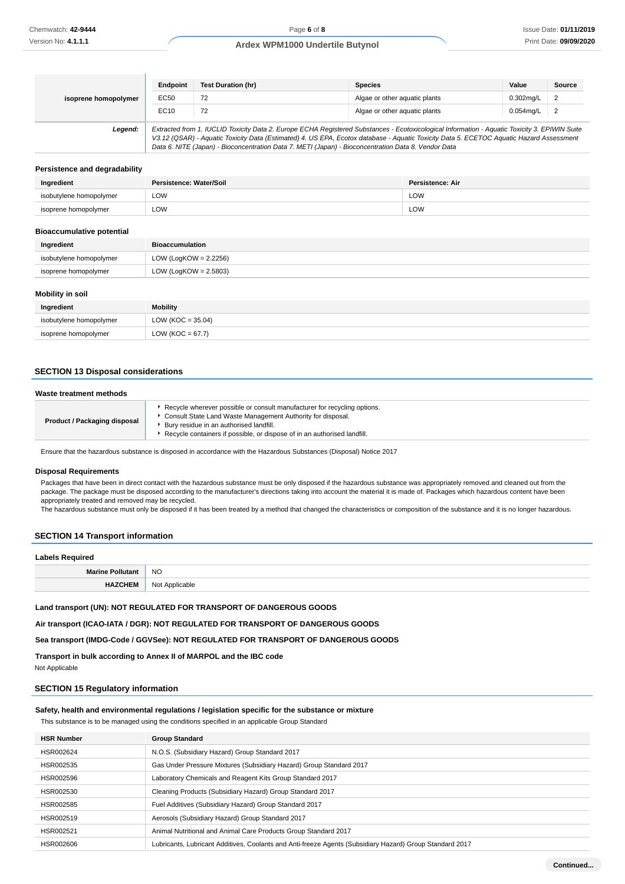| isoprene homopolymer | Endpoint                                                                                                                                                                                                                                                                                                                                                                                        | <b>Test Duration (hr)</b> | <b>Species</b>                | Value        | Source         |
|----------------------|-------------------------------------------------------------------------------------------------------------------------------------------------------------------------------------------------------------------------------------------------------------------------------------------------------------------------------------------------------------------------------------------------|---------------------------|-------------------------------|--------------|----------------|
|                      | EC50                                                                                                                                                                                                                                                                                                                                                                                            | 72                        | Algae or other aguatic plants | $0.302$ ma/L | 2              |
|                      | EC10                                                                                                                                                                                                                                                                                                                                                                                            | 72                        | Algae or other aguatic plants | $0.054$ mg/L | $\overline{2}$ |
| Legend:              | Extracted from 1. IUCLID Toxicity Data 2. Europe ECHA Registered Substances - Ecotoxicological Information - Aquatic Toxicity 3. EPIWIN Suite<br>V3.12 (QSAR) - Aquatic Toxicity Data (Estimated) 4. US EPA, Ecotox database - Aquatic Toxicity Data 5. ECETOC Aquatic Hazard Assessment<br>Data 6. NITE (Japan) - Bioconcentration Data 7. METI (Japan) - Bioconcentration Data 8. Vendor Data |                           |                               |              |                |

#### **Persistence and degradability**

| Ingredient              | Persistence: Water/Soil | Persistence: Air |
|-------------------------|-------------------------|------------------|
| isobutylene homopolymer | LOW                     | LOW              |
| isoprene homopolymer    | LOW                     | LOW              |

#### **Bioaccumulative potential**

| Ingredient              | <b>Bioaccumulation</b>   |
|-------------------------|--------------------------|
| isobutylene homopolymer | LOW (LogKOW = $2.2256$ ) |
| isoprene homopolymer    | LOW (LogKOW = $2.5803$ ) |
|                         |                          |

#### **Mobility in soil**

| Ingredient              | <b>Mobility</b>       |
|-------------------------|-----------------------|
| isobutylene homopolymer | LOW ( $KOC = 35.04$ ) |
| isoprene homopolymer    | LOW ( $KOC = 67.7$ )  |

### **SECTION 13 Disposal considerations**

| Waste treatment methods      |                                                                                                                                                                                                                                                                |  |
|------------------------------|----------------------------------------------------------------------------------------------------------------------------------------------------------------------------------------------------------------------------------------------------------------|--|
| Product / Packaging disposal | Recycle wherever possible or consult manufacturer for recycling options.<br>Consult State Land Waste Management Authority for disposal.<br>Bury residue in an authorised landfill.<br>Recycle containers if possible, or dispose of in an authorised landfill. |  |

Ensure that the hazardous substance is disposed in accordance with the Hazardous Substances (Disposal) Notice 2017

#### **Disposal Requirements**

Packages that have been in direct contact with the hazardous substance must be only disposed if the hazardous substance was appropriately removed and cleaned out from the package. The package must be disposed according to the manufacturer's directions taking into account the material it is made of. Packages which hazardous content have been appropriately treated and removed may be recycled.

The hazardous substance must only be disposed if it has been treated by a method that changed the characteristics or composition of the substance and it is no longer hazardous.

### **SECTION 14 Transport information**

# **Labels Required Marine Pollutant** NO **HAZCHEM** Not Applicable

### **Land transport (UN): NOT REGULATED FOR TRANSPORT OF DANGEROUS GOODS**

**Air transport (ICAO-IATA / DGR): NOT REGULATED FOR TRANSPORT OF DANGEROUS GOODS**

**Sea transport (IMDG-Code / GGVSee): NOT REGULATED FOR TRANSPORT OF DANGEROUS GOODS**

**Transport in bulk according to Annex II of MARPOL and the IBC code**

Not Applicable

#### **SECTION 15 Regulatory information**

#### **Safety, health and environmental regulations / legislation specific for the substance or mixture**

This substance is to be managed using the conditions specified in an applicable Group Standard

| <b>HSR Number</b> | <b>Group Standard</b>                                                                                    |
|-------------------|----------------------------------------------------------------------------------------------------------|
| HSR002624         | N.O.S. (Subsidiary Hazard) Group Standard 2017                                                           |
| HSR002535         | Gas Under Pressure Mixtures (Subsidiary Hazard) Group Standard 2017                                      |
| HSR002596         | Laboratory Chemicals and Reagent Kits Group Standard 2017                                                |
| HSR002530         | Cleaning Products (Subsidiary Hazard) Group Standard 2017                                                |
| HSR002585         | Fuel Additives (Subsidiary Hazard) Group Standard 2017                                                   |
| HSR002519         | Aerosols (Subsidiary Hazard) Group Standard 2017                                                         |
| HSR002521         | Animal Nutritional and Animal Care Products Group Standard 2017                                          |
| HSR002606         | Lubricants, Lubricant Additives, Coolants and Anti-freeze Agents (Subsidiary Hazard) Group Standard 2017 |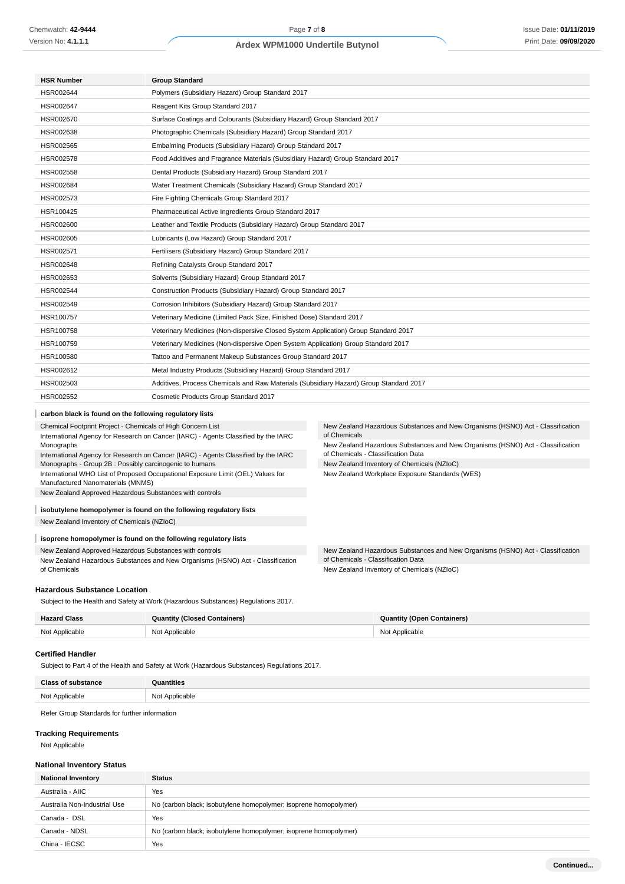| <b>HSR Number</b>                                                                                                                                                      | <b>Group Standard</b>                                                                  |                                                                                                |  |  |
|------------------------------------------------------------------------------------------------------------------------------------------------------------------------|----------------------------------------------------------------------------------------|------------------------------------------------------------------------------------------------|--|--|
| HSR002644                                                                                                                                                              | Polymers (Subsidiary Hazard) Group Standard 2017                                       |                                                                                                |  |  |
| HSR002647                                                                                                                                                              | Reagent Kits Group Standard 2017                                                       |                                                                                                |  |  |
| HSR002670                                                                                                                                                              | Surface Coatings and Colourants (Subsidiary Hazard) Group Standard 2017                |                                                                                                |  |  |
| HSR002638                                                                                                                                                              | Photographic Chemicals (Subsidiary Hazard) Group Standard 2017                         |                                                                                                |  |  |
| HSR002565                                                                                                                                                              | Embalming Products (Subsidiary Hazard) Group Standard 2017                             |                                                                                                |  |  |
| HSR002578                                                                                                                                                              | Food Additives and Fragrance Materials (Subsidiary Hazard) Group Standard 2017         |                                                                                                |  |  |
| HSR002558                                                                                                                                                              | Dental Products (Subsidiary Hazard) Group Standard 2017                                |                                                                                                |  |  |
| HSR002684                                                                                                                                                              | Water Treatment Chemicals (Subsidiary Hazard) Group Standard 2017                      |                                                                                                |  |  |
| HSR002573                                                                                                                                                              | Fire Fighting Chemicals Group Standard 2017                                            |                                                                                                |  |  |
| HSR100425                                                                                                                                                              | Pharmaceutical Active Ingredients Group Standard 2017                                  |                                                                                                |  |  |
| HSR002600                                                                                                                                                              | Leather and Textile Products (Subsidiary Hazard) Group Standard 2017                   |                                                                                                |  |  |
| HSR002605                                                                                                                                                              | Lubricants (Low Hazard) Group Standard 2017                                            |                                                                                                |  |  |
| HSR002571                                                                                                                                                              | Fertilisers (Subsidiary Hazard) Group Standard 2017                                    |                                                                                                |  |  |
| HSR002648                                                                                                                                                              | Refining Catalysts Group Standard 2017                                                 |                                                                                                |  |  |
| HSR002653                                                                                                                                                              | Solvents (Subsidiary Hazard) Group Standard 2017                                       |                                                                                                |  |  |
| HSR002544                                                                                                                                                              | Construction Products (Subsidiary Hazard) Group Standard 2017                          |                                                                                                |  |  |
| HSR002549                                                                                                                                                              | Corrosion Inhibitors (Subsidiary Hazard) Group Standard 2017                           |                                                                                                |  |  |
| HSR100757                                                                                                                                                              | Veterinary Medicine (Limited Pack Size, Finished Dose) Standard 2017                   |                                                                                                |  |  |
| HSR100758                                                                                                                                                              | Veterinary Medicines (Non-dispersive Closed System Application) Group Standard 2017    |                                                                                                |  |  |
| HSR100759                                                                                                                                                              | Veterinary Medicines (Non-dispersive Open System Application) Group Standard 2017      |                                                                                                |  |  |
| HSR100580                                                                                                                                                              | Tattoo and Permanent Makeup Substances Group Standard 2017                             |                                                                                                |  |  |
| HSR002612                                                                                                                                                              | Metal Industry Products (Subsidiary Hazard) Group Standard 2017                        |                                                                                                |  |  |
| HSR002503                                                                                                                                                              | Additives, Process Chemicals and Raw Materials (Subsidiary Hazard) Group Standard 2017 |                                                                                                |  |  |
| HSR002552                                                                                                                                                              | Cosmetic Products Group Standard 2017                                                  |                                                                                                |  |  |
| carbon black is found on the following regulatory lists                                                                                                                |                                                                                        |                                                                                                |  |  |
| Chemical Footprint Project - Chemicals of High Concern List                                                                                                            |                                                                                        | New Zealand Hazardous Substances and New Organisms (HSNO) Act - Classification                 |  |  |
| International Agency for Research on Cancer (IARC) - Agents Classified by the IARC                                                                                     |                                                                                        | of Chemicals<br>New Zealand Hazardous Substances and New Organisms (HSNO) Act - Classification |  |  |
| Monographs<br>International Agency for Research on Cancer (IARC) - Agents Classified by the IARC                                                                       |                                                                                        | of Chemicals - Classification Data                                                             |  |  |
| Monographs - Group 2B : Possibly carcinogenic to humans                                                                                                                |                                                                                        | New Zealand Inventory of Chemicals (NZIoC)                                                     |  |  |
| International WHO List of Proposed Occupational Exposure Limit (OEL) Values for<br>New Zealand Workplace Exposure Standards (WES)<br>Manufactured Nanomaterials (MNMS) |                                                                                        |                                                                                                |  |  |
|                                                                                                                                                                        | New Zealand Approved Hazardous Substances with controls                                |                                                                                                |  |  |
|                                                                                                                                                                        | isobutylene homopolymer is found on the following regulatory lists                     |                                                                                                |  |  |

New Zealand Inventory of Chemicals (NZIoC)

#### **isoprene homopolymer is found on the following regulatory lists** I

New Zealand Approved Hazardous Substances with controls

New Zealand Hazardous Substances and New Organisms (HSNO) Act - Classification of Chemicals

#### **Hazardous Substance Location**

Subject to the Health and Safety at Work (Hazardous Substances) Regulations 2017.

| <b>Hazard Class</b> | <b>Quantity (Closed Containers)</b> | <b>Quantity (Open Containers)</b> |
|---------------------|-------------------------------------|-----------------------------------|
| Not Applicable      | Not Applicable                      | Not Applicable                    |

of Chemicals - Classification Data New Zealand Inventory of Chemicals (NZIoC)

New Zealand Hazardous Substances and New Organisms (HSNO) Act - Classification

#### **Certified Handler**

Subject to Part 4 of the Health and Safety at Work (Hazardous Substances) Regulations 2017.

| <b>Class of substance</b> | Quantities     |
|---------------------------|----------------|
| Not Applicable            | Not Applicable |

Refer Group Standards for further information

#### **Tracking Requirements**

Not Applicable

#### **National Inventory Status**

| <b>National Inventory</b>    | <b>Status</b>                                                    |
|------------------------------|------------------------------------------------------------------|
| Australia - AIIC             | Yes                                                              |
| Australia Non-Industrial Use | No (carbon black; isobutylene homopolymer; isoprene homopolymer) |
| Canada - DSL                 | Yes                                                              |
| Canada - NDSL                | No (carbon black; isobutylene homopolymer; isoprene homopolymer) |
| China - IECSC                | Yes                                                              |